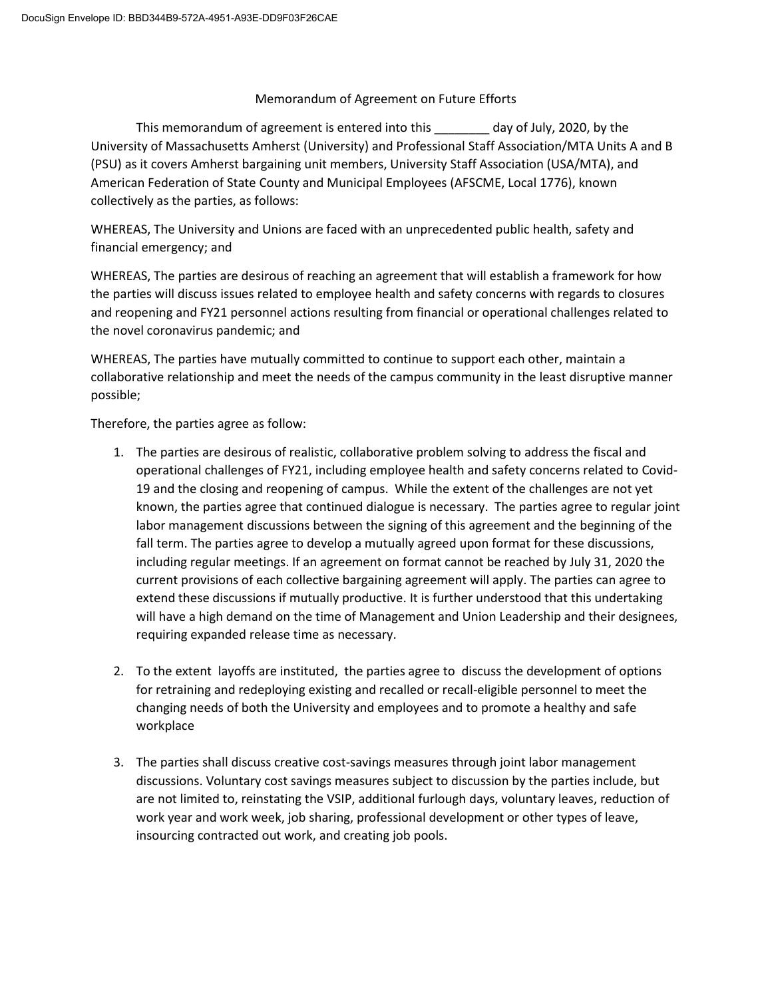## Memorandum of Agreement on Future Efforts

This memorandum of agreement is entered into this \_\_\_\_\_\_\_\_ day of July, 2020, by the University of Massachusetts Amherst (University) and Professional Staff Association/MTA Units A and B (PSU) as it covers Amherst bargaining unit members, University Staff Association (USA/MTA), and American Federation of State County and Municipal Employees (AFSCME, Local 1776), known collectively as the parties, as follows:

WHEREAS, The University and Unions are faced with an unprecedented public health, safety and financial emergency; and

WHEREAS, The parties are desirous of reaching an agreement that will establish a framework for how the parties will discuss issues related to employee health and safety concerns with regards to closures and reopening and FY21 personnel actions resulting from financial or operational challenges related to the novel coronavirus pandemic; and

WHEREAS, The parties have mutually committed to continue to support each other, maintain a collaborative relationship and meet the needs of the campus community in the least disruptive manner possible;

Therefore, the parties agree as follow:

- 1. The parties are desirous of realistic, collaborative problem solving to address the fiscal and operational challenges of FY21, including employee health and safety concerns related to Covid-19 and the closing and reopening of campus. While the extent of the challenges are not yet known, the parties agree that continued dialogue is necessary. The parties agree to regular joint labor management discussions between the signing of this agreement and the beginning of the fall term. The parties agree to develop a mutually agreed upon format for these discussions, including regular meetings. If an agreement on format cannot be reached by July 31, 2020 the current provisions of each collective bargaining agreement will apply. The parties can agree to extend these discussions if mutually productive. It is further understood that this undertaking will have a high demand on the time of Management and Union Leadership and their designees, requiring expanded release time as necessary.
- 2. To the extent layoffs are instituted, the parties agree to discuss the development of options for retraining and redeploying existing and recalled or recall-eligible personnel to meet the changing needs of both the University and employees and to promote a healthy and safe workplace
- 3. The parties shall discuss creative cost-savings measures through joint labor management discussions. Voluntary cost savings measures subject to discussion by the parties include, but are not limited to, reinstating the VSIP, additional furlough days, voluntary leaves, reduction of work year and work week, job sharing, professional development or other types of leave, insourcing contracted out work, and creating job pools.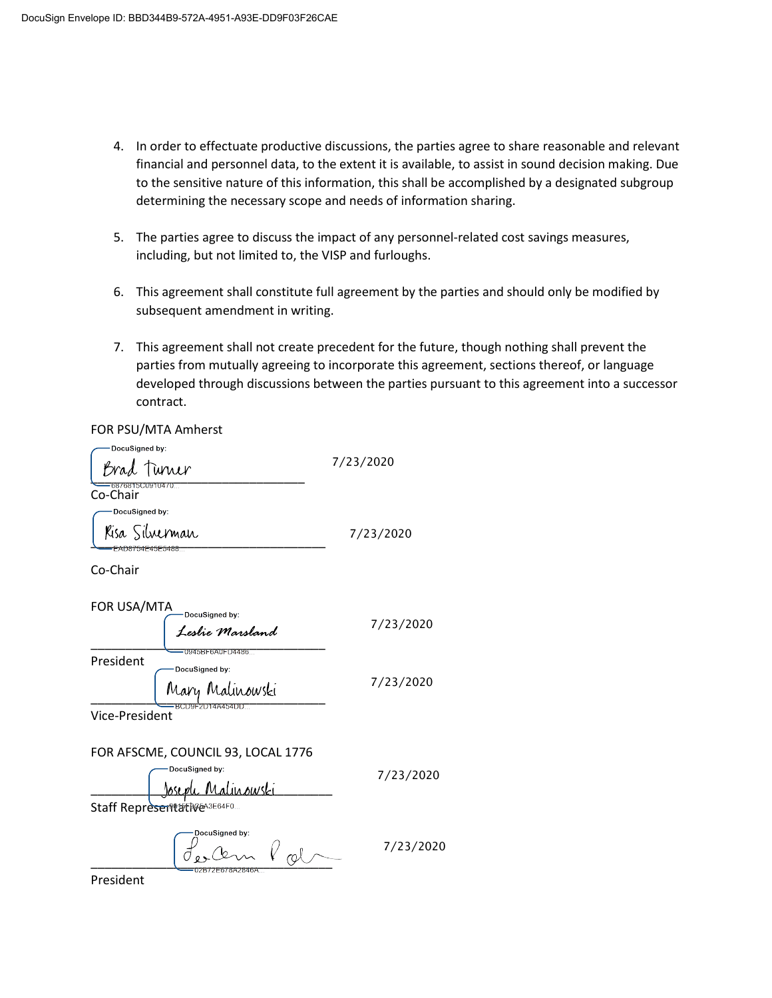- 4. In order to effectuate productive discussions, the parties agree to share reasonable and relevant financial and personnel data, to the extent it is available, to assist in sound decision making. Due to the sensitive nature of this information, this shall be accomplished by a designated subgroup determining the necessary scope and needs of information sharing.
- 5. The parties agree to discuss the impact of any personnel-related cost savings measures, including, but not limited to, the VISP and furloughs.
- 6. This agreement shall constitute full agreement by the parties and should only be modified by subsequent amendment in writing.
- 7. This agreement shall not create precedent for the future, though nothing shall prevent the parties from mutually agreeing to incorporate this agreement, sections thereof, or language developed through discussions between the parties pursuant to this agreement into a successor contract.

FOR PSU/MTA Amherst 

| -DocuSianed by:<br>Brad Tuner         | 7/23/2020 |
|---------------------------------------|-----------|
| 6876815C0910470<br>Co-Chair           |           |
| DocuSigned by:                        |           |
| Kisa Silverman                        | 7/23/2020 |
| FAD8754F45F5488-<br>$C_2$ $C_2$ $C_3$ |           |

Co-Chair

| FOR USA/MTA<br>DocuSigned by:<br>.<br>Leslie Marsland             | 7/23/2020 |
|-------------------------------------------------------------------|-----------|
| 0945BF6A0FD4486<br>President<br>DocuSigned by:<br>Mary Malinowski | 7/23/2020 |
| BCD9F2D14A454DDT<br>Vice-President                                |           |

## FOR AFSCME, COUNCIL 93, LOCAL 1776 DocuSianed by:

<u>Joseph Malinowski</u> Staff Representative Masses4F0... 7/23/2020

DocuSigned by:  $\ell$  rab 7/23/2020

President